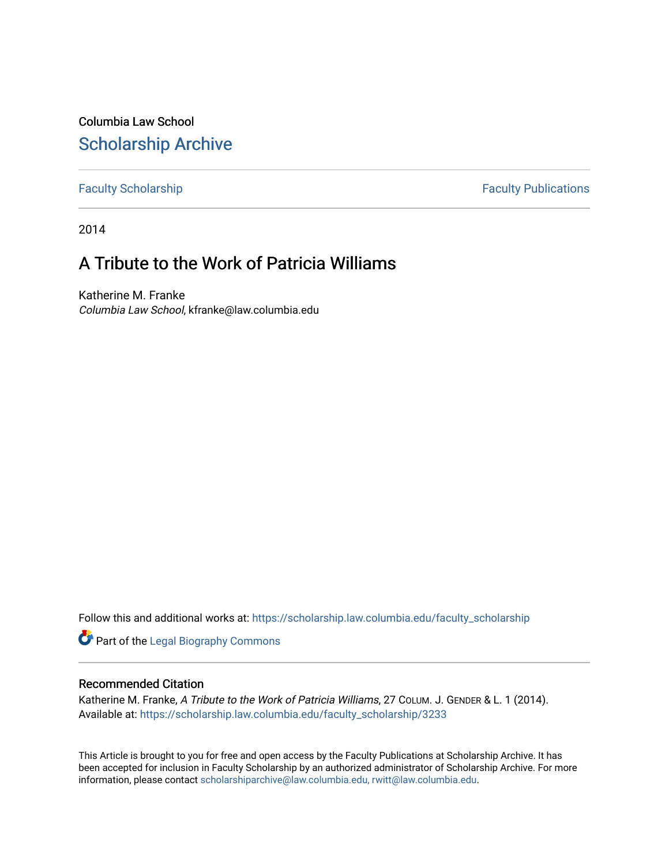Columbia Law School [Scholarship Archive](https://scholarship.law.columbia.edu/) 

[Faculty Scholarship](https://scholarship.law.columbia.edu/faculty_scholarship) **Faculty Scholarship Faculty Publications** 

2014

## A Tribute to the Work of Patricia Williams

Katherine M. Franke Columbia Law School, kfranke@law.columbia.edu

Follow this and additional works at: [https://scholarship.law.columbia.edu/faculty\\_scholarship](https://scholarship.law.columbia.edu/faculty_scholarship?utm_source=scholarship.law.columbia.edu%2Ffaculty_scholarship%2F3233&utm_medium=PDF&utm_campaign=PDFCoverPages)

**Part of the Legal Biography Commons** 

## Recommended Citation

Katherine M. Franke, A Tribute to the Work of Patricia Williams, 27 COLUM. J. GENDER & L. 1 (2014). Available at: [https://scholarship.law.columbia.edu/faculty\\_scholarship/3233](https://scholarship.law.columbia.edu/faculty_scholarship/3233?utm_source=scholarship.law.columbia.edu%2Ffaculty_scholarship%2F3233&utm_medium=PDF&utm_campaign=PDFCoverPages)

This Article is brought to you for free and open access by the Faculty Publications at Scholarship Archive. It has been accepted for inclusion in Faculty Scholarship by an authorized administrator of Scholarship Archive. For more information, please contact [scholarshiparchive@law.columbia.edu, rwitt@law.columbia.edu](mailto:scholarshiparchive@law.columbia.edu,%20rwitt@law.columbia.edu).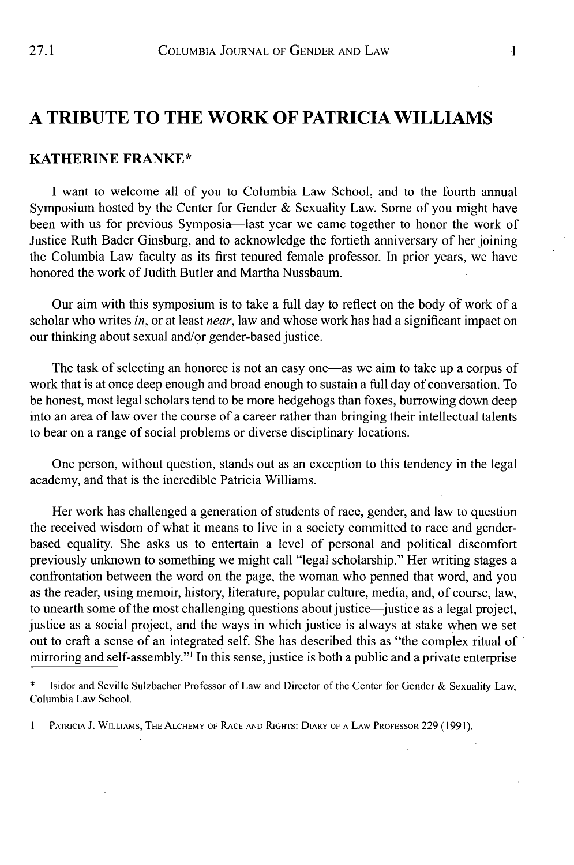## **A TRIBUTE TO THE WORK OF PATRICIA WILLIAMS**

## **KATHERINE FRANKE\***

**I** want to welcome all of you to Columbia Law School, and to the fourth annual Symposium hosted **by** the Center for Gender **&** Sexuality Law. Some of you might have been with us for previous Symposia-last year we came together to honor the work of Justice Ruth Bader Ginsburg, and to acknowledge the fortieth anniversary of her joining the Columbia Law faculty as its first tenured female professor. In prior years, we have honored the work of Judith Butler and Martha Nussbaum.

Our aim with this symposium is to take a full day to reflect on the body of work of a scholar who writes *in,* or at least *near,* law and whose work has had a significant impact on our thinking about sexual and/or gender-based justice.

The task of selecting an honoree is not an easy one—as we aim to take up a corpus of work that is at once deep enough and broad enough to sustain a **full** day of conversation. To be honest, most legal scholars tend to be more hedgehogs than foxes, burrowing down deep into an area of law over the course of a career rather than bringing their intellectual talents to bear on a range of social problems or diverse disciplinary locations.

One person, without question, stands out as an exception to this tendency in the legal academy, and that is the incredible Patricia Williams.

Her work has challenged a generation of students of race, gender, and law to question the received wisdom of what it means to live in a society committed to race and genderbased equality. She asks us to entertain a level of personal and political discomfort previously unknown to something we might call "legal scholarship." Her writing stages a confrontation between the word on the page, the woman who penned that word, and you as the reader, using memoir, history, literature, popular culture, media, and, of course, law, to unearth some of the most challenging questions about justice-justice as a legal project, justice as a social project, and the ways in which justice is always at stake when we set out to craft a sense of an integrated self. She has described this as "the complex ritual of mirroring and self-assembly."' In this sense, justice is both a public and a private enterprise

**<sup>\*</sup>** Isidor and Seville Sulzbacher Professor of Law and Director of the Center for Gender **&** Sexuality Law, Columbia Law School.

<sup>1</sup> PATRICIA J. WILLIAMS, THE ALCHEMY OF RACE AND RIGHTS: DIARY OF A LAW PROFESSOR 229 (1991).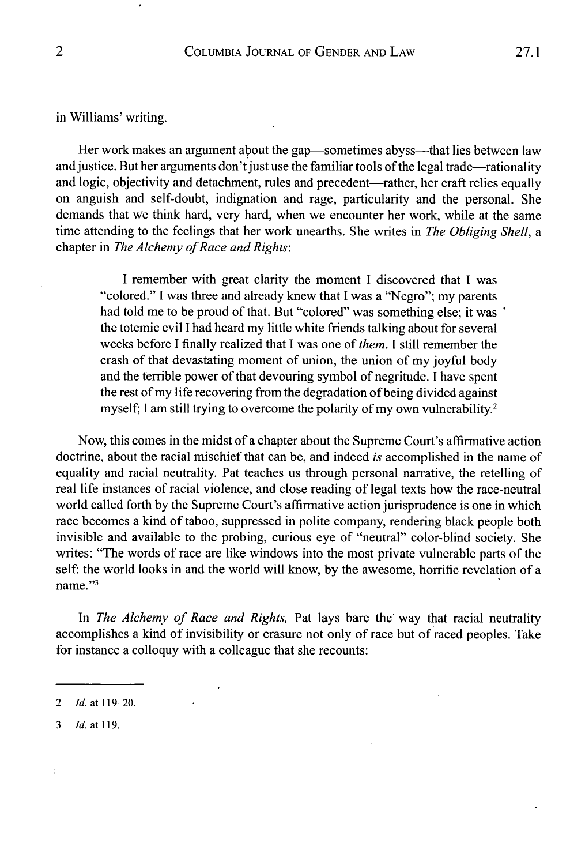in Williams' writing.

Her work makes an argument about the gap—sometimes abyss—that lies between law and justice. But her arguments don't just use the familiar tools of the legal trade—rationality and logic, objectivity and detachment, rules and precedent—rather, her craft relies equally on anguish and self-doubt, indignation and rage, particularity and the personal. She demands that We think hard, very hard, when we encounter her work, while at the same time attending to the feelings that her work unearths. She writes in *The Obliging Shell, a* chapter in *The Alchemy of Race and Rights*:

**I** remember with great clarity the moment **I** discovered that **I** was "colored." **I** was three and already knew that **I** was a "Negro"; my parents had told me to be proud of that. But "colored" was something else; it was ' the totemic evil **I** had heard my little white friends talking about for several weeks before **I** finally realized that **I** was one of *them. I* still remember the crash of that devastating moment of union, the union of my **joyful** body and the terrible power of that devouring symbol of negritude. **I** have spent the rest of my life recovering from the degradation of being divided against myself; I am still trying to overcome the polarity of my own vulnerability.<sup>2</sup>

Now, this comes in the midst of a chapter about the Supreme Court's affirmative action doctrine, about the racial mischief that can be, and indeed *is* accomplished in the name of equality and racial neutrality. Pat teaches us through personal narrative, the retelling of real life instances of racial violence, and close reading of legal texts how the race-neutral world called forth **by** the Supreme Court's affirmative action jurisprudence is one in which race becomes a kind of taboo, suppressed in polite company, rendering black people both invisible and available to the probing, curious eye of "neutral" color-blind society. She writes: "The words of race are like windows into the most private vulnerable parts of the self: the world looks in and the world will know, **by** the awesome, horrific revelation of a name."3

*In The Alchemy of Race and Rights,* Pat lays bare the way that racial neutrality accomplishes a kind of invisibility or erasure not only of race but of raced peoples. Take for instance a colloquy with a colleague that she recounts:

 $\overline{\mathcal{L}}$ 

*<sup>2</sup> Id. at* **119-20.**

**<sup>3</sup>** *Id. at* **119.**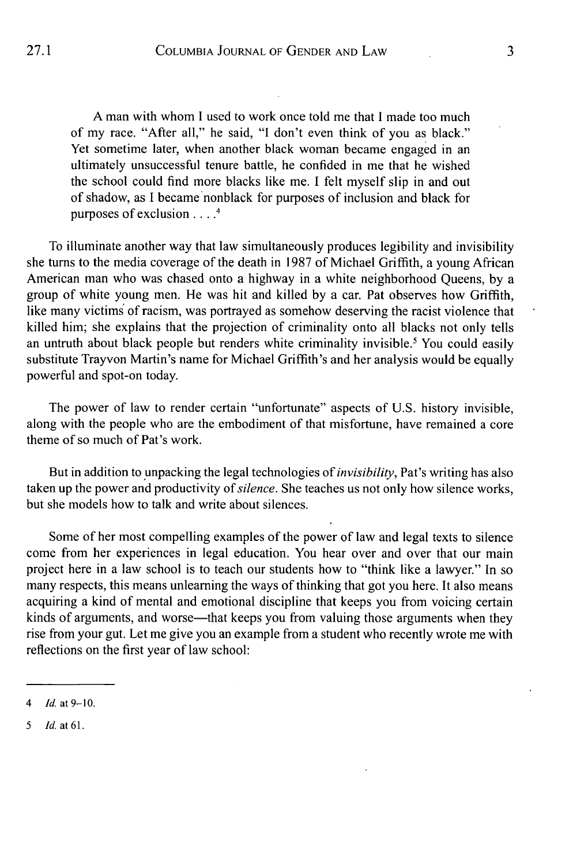**A** man with whom **I** used to work once told me that **I** made too much of my race. "After all," he said, **"I** don't even think of you as black." Yet sometime later, when another black woman became engaged in an ultimately unsuccessful tenure battle, he confided in me that he wished the school could find more blacks like me. **I** felt myself slip in and out of shadow, as **I** became nonblack for purposes of inclusion and black for purposes of exclusion **. . . .**

To illuminate another way that law simultaneously produces legibility and invisibility she turns to the media coverage of the death in **1987** of Michael Griffith, a young African American man who was chased onto a highway in a white neighborhood Queens, **by** a group of white young men. He was hit and killed **by** a car. Pat observes how Griffith, like many victims of racism, was portrayed as somehow deserving the racist violence that killed him; she explains that the projection of criminality onto all blacks not only tells an untruth about black people but renders white criminality invisible.' You could easily substitute Trayvon Martin's name for Michael Griffith's and her analysis would be equally powerful and spot-on today.

The power of law to render certain "unfortunate" aspects of **U.S.** history invisible, along with the people who are the embodiment of that misfortune, have remained a core theme of so much of Pat's work.

But in addition to unpacking the legal technologies of *invisibility,* Pat's writing has also taken up the power and productivity of *silence.* She teaches us not only how silence works, but she models how to talk and write about silences.

Some of her most compelling examples of the power of law and legal texts to silence come from her experiences in legal education. You hear over and over that our main project here in a law school is to teach our students how to "think like a lawyer." In so many respects, this means unlearning the ways of thinking that got you here. It also means acquiring a kind of mental and emotional discipline that keeps you from voicing certain kinds of arguments, and worse—that keeps you from valuing those arguments when they rise from your gut. Let me give you an example from a student who recently wrote me with reflections on the first year of law school:

*<sup>4</sup> Id. at* **9-10.**

*<sup>5</sup> Id. at* **61.**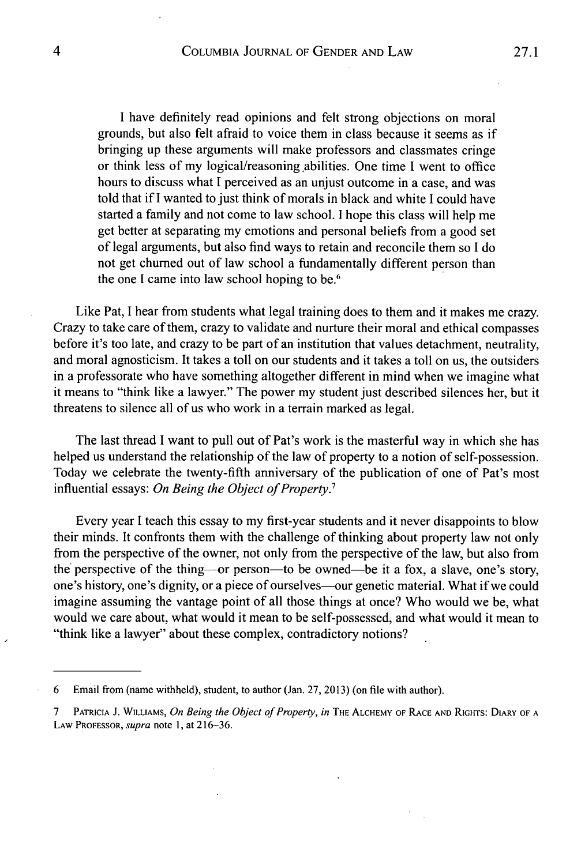**I** have definitely read opinions and felt strong objections on moral grounds, but also felt afraid to voice them in class because it seems as **if** bringing up these arguments will make professors and classmates cringe or think less of my logical/reasoning .abilities. One time **I** went to office hours to discuss what **I** perceived as an unjust outcome in a case, and was told that **if I** wanted to just think of morals in black and white **I** could have started a family and not come to law school. **I** hope this class will help me get better at separating my emotions and personal beliefs from a good set of legal arguments, but also find ways to retain and reconcile them so **I** do not get churned out of law school a fundamentally different person than the one **I** came into law school hoping to be.6

Like Pat, **I** hear from students what legal training does to them and it makes me crazy. Crazy to take care of them, crazy to validate and nurture their moral and ethical compasses before it's too late, and crazy to be part of an institution that values detachment, neutrality, and moral agnosticism. It takes a toll on our students and it takes a toll on us, the outsiders in a professorate who have something altogether different in mind when we imagine what it means to "think like a lawyer." The power my student just described silences her, but it threatens to silence all of us who work in a terrain marked as legal.

The last thread **I** want to pull out of Pat's work is the masterful way in which she has helped us understand the relationship of the law of property to a notion of self-possession. Today we celebrate the twenty-fifth anniversary of the publication of one of Pat's most influential essays: *On Being the Object of Property*.<sup>7</sup>

Every year **I** teach this essay to my first-year students and it never disappoints to blow their minds. It confronts them with the challenge of thinking about property law not only from the perspective of the owner, not only from the perspective of the law, but also from the perspective of the thing—or person—to be owned—be it a fox, a slave, one's story, one's history, one's dignity, or a piece of ourselves-our genetic material. What if we could imagine assuming the vantage point of all those things at once? Who would we be, what would we care about, what would it mean to be self-possessed, and what would it mean to "think like a lawyer" about these complex, contradictory notions?

**<sup>6</sup>** Email from (name withheld), student, to author (Jan. **27, 2013)** (on file with author).

**<sup>7</sup>PATRICIA J. WILLIAMS,** *On Being the Object of Property, in* **THE ALCHEMY OF RACE AND RIGHTS: DIARY OF A LAW PROFESSOR,** *supra* note **1,** at **216-36.**